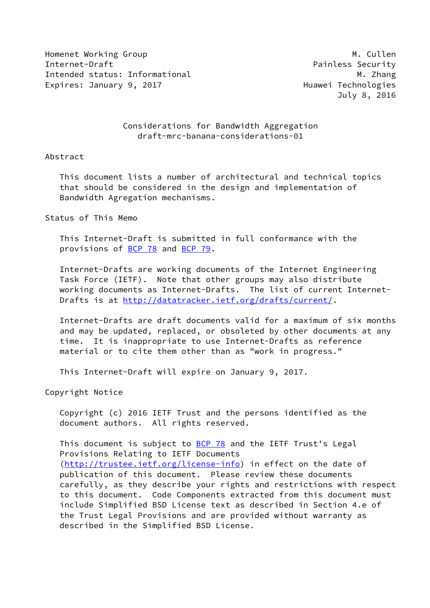Homenet Working Group Manual Muslim Manual Muslim Muslim Muslim Muslim Muslim Muslim Muslim Muslim Muslim Musl Internet-Draft **Painless** Security Intended status: Informational Media Media Media Media Media Media Media Media Media Media Media Media Media M Expires: January 9, 2017 **Expires: January 9, 2017** 

July 8, 2016

## Considerations for Bandwidth Aggregation draft-mrc-banana-considerations-01

#### Abstract

 This document lists a number of architectural and technical topics that should be considered in the design and implementation of Bandwidth Agregation mechanisms.

## Status of This Memo

 This Internet-Draft is submitted in full conformance with the provisions of [BCP 78](https://datatracker.ietf.org/doc/pdf/bcp78) and [BCP 79](https://datatracker.ietf.org/doc/pdf/bcp79).

 Internet-Drafts are working documents of the Internet Engineering Task Force (IETF). Note that other groups may also distribute working documents as Internet-Drafts. The list of current Internet Drafts is at<http://datatracker.ietf.org/drafts/current/>.

 Internet-Drafts are draft documents valid for a maximum of six months and may be updated, replaced, or obsoleted by other documents at any time. It is inappropriate to use Internet-Drafts as reference material or to cite them other than as "work in progress."

This Internet-Draft will expire on January 9, 2017.

Copyright Notice

 Copyright (c) 2016 IETF Trust and the persons identified as the document authors. All rights reserved.

This document is subject to **[BCP 78](https://datatracker.ietf.org/doc/pdf/bcp78)** and the IETF Trust's Legal Provisions Relating to IETF Documents [\(http://trustee.ietf.org/license-info](http://trustee.ietf.org/license-info)) in effect on the date of publication of this document. Please review these documents carefully, as they describe your rights and restrictions with respect to this document. Code Components extracted from this document must include Simplified BSD License text as described in Section 4.e of the Trust Legal Provisions and are provided without warranty as described in the Simplified BSD License.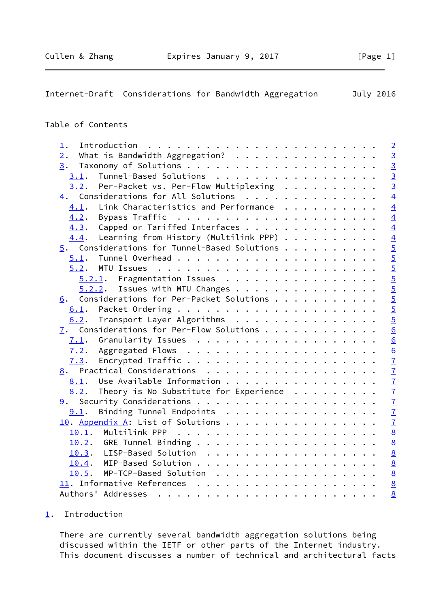<span id="page-1-1"></span>

| Internet-Draft Considerations for Bandwidth Aggregation                                        | July 2016                 |
|------------------------------------------------------------------------------------------------|---------------------------|
| Table of Contents                                                                              |                           |
|                                                                                                |                           |
| $\perp$ .                                                                                      | $\overline{2}$            |
| What is Bandwidth Aggregation?<br>2.                                                           | $\frac{3}{3}$             |
| 3.                                                                                             |                           |
| Tunnel-Based Solutions<br>3.1.                                                                 | $\frac{3}{3}$             |
| Per-Packet vs. Per-Flow Multiplexing $\cdot \cdot \cdot \cdot \cdot \cdot \cdot \cdot$<br>3.2. |                           |
| 4. Considerations for All Solutions                                                            | $\overline{4}$            |
| Link Characteristics and Performance<br>4.1.                                                   | $\overline{4}$            |
| 4.2.                                                                                           | $\overline{4}$            |
| Capped or Tariffed Interfaces<br>4.3.                                                          | $\overline{4}$            |
| Learning from History (Multilink PPP) $\cdots$<br>4.4.                                         |                           |
| $5.$ Considerations for Tunnel-Based Solutions                                                 | $\frac{4}{5}$             |
| 5.1.                                                                                           |                           |
| MTU Issues<br>5.2.                                                                             | $\frac{5}{5}$             |
| 5.2.1. Fragmentation Issues                                                                    |                           |
| Issues with MTU Changes<br>5.2.2.                                                              | $\overline{5}$            |
| Considerations for Per-Packet Solutions<br>6.                                                  |                           |
| 6.1.                                                                                           | $rac{5}{5}$               |
| Transport Layer Algorithms<br>6.2.                                                             | $\overline{5}$            |
| 7. Considerations for Per-Flow Solutions                                                       | $\overline{6}$            |
| 7.1.                                                                                           | $\underline{6}$           |
| 7.2.                                                                                           | $\underline{6}$           |
| 7.3.                                                                                           | $\overline{1}$            |
| 8. Practical Considerations                                                                    |                           |
| Use Available Information<br>8.1.                                                              |                           |
| Theory is No Substitute for Experience<br>8.2.                                                 | $\frac{7}{7}$             |
|                                                                                                | $\underline{\mathcal{I}}$ |
| 9.1. Binding Tunnel Endpoints                                                                  | $\underline{\mathcal{I}}$ |
| 10. Appendix A: List of Solutions                                                              | $\mathbf{I}$              |
| 10.1.                                                                                          |                           |
| 10.2.                                                                                          | $\frac{8}{8}$             |
| LISP-Based Solution                                                                            |                           |
| 10.3.                                                                                          | $\underline{8}$           |
| 10.4.                                                                                          | $\frac{8}{8}$             |
| MP-TCP-Based Solution<br>10.5.                                                                 |                           |
|                                                                                                | $\underline{8}$           |
|                                                                                                | 8                         |

# <span id="page-1-0"></span>[1](#page-1-0). Introduction

 There are currently several bandwidth aggregation solutions being discussed within the IETF or other parts of the Internet industry. This document discusses a number of technical and architectural facts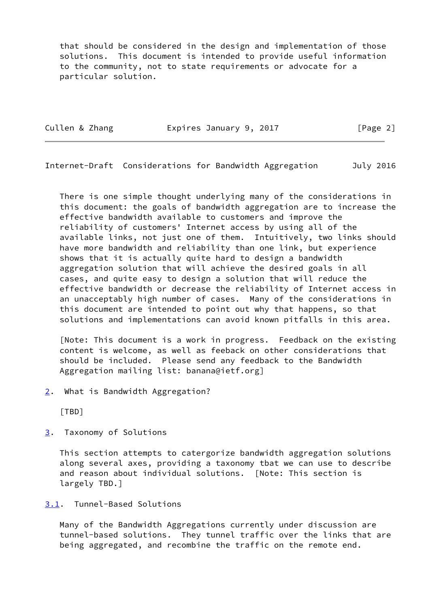that should be considered in the design and implementation of those solutions. This document is intended to provide useful information to the community, not to state requirements or advocate for a particular solution.

Cullen & Zhang **Expires January 9, 2017** [Page 2]

<span id="page-2-1"></span>Internet-Draft Considerations for Bandwidth Aggregation July 2016

 There is one simple thought underlying many of the considerations in this document: the goals of bandwidth aggregation are to increase the effective bandwidth available to customers and improve the reliability of customers' Internet access by using all of the available links, not just one of them. Intuitively, two links should have more bandwidth and reliability than one link, but experience shows that it is actually quite hard to design a bandwidth aggregation solution that will achieve the desired goals in all cases, and quite easy to design a solution that will reduce the effective bandwidth or decrease the reliability of Internet access in an unacceptably high number of cases. Many of the considerations in this document are intended to point out why that happens, so that solutions and implementations can avoid known pitfalls in this area.

 [Note: This document is a work in progress. Feedback on the existing content is welcome, as well as feeback on other considerations that should be included. Please send any feedback to the Bandwidth Aggregation mailing list: banana@ietf.org]

<span id="page-2-0"></span>[2](#page-2-0). What is Bandwidth Aggregation?

[TBD]

<span id="page-2-2"></span>[3](#page-2-2). Taxonomy of Solutions

 This section attempts to catergorize bandwidth aggregation solutions along several axes, providing a taxonomy tbat we can use to describe and reason about individual solutions. [Note: This section is largely TBD.]

# <span id="page-2-3"></span>[3.1](#page-2-3). Tunnel-Based Solutions

 Many of the Bandwidth Aggregations currently under discussion are tunnel-based solutions. They tunnel traffic over the links that are being aggregated, and recombine the traffic on the remote end.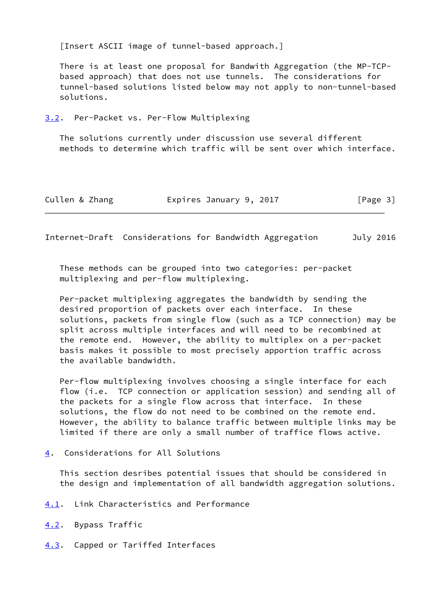[Insert ASCII image of tunnel-based approach.]

 There is at least one proposal for Bandwith Aggregation (the MP-TCP based approach) that does not use tunnels. The considerations for tunnel-based solutions listed below may not apply to non-tunnel-based solutions.

#### <span id="page-3-0"></span>[3.2](#page-3-0). Per-Packet vs. Per-Flow Multiplexing

 The solutions currently under discussion use several different methods to determine which traffic will be sent over which interface.

| Cullen & Zhang | Expires January 9, 2017 | [Page 3] |
|----------------|-------------------------|----------|
|----------------|-------------------------|----------|

<span id="page-3-2"></span>Internet-Draft Considerations for Bandwidth Aggregation July 2016

 These methods can be grouped into two categories: per-packet multiplexing and per-flow multiplexing.

 Per-packet multiplexing aggregates the bandwidth by sending the desired proportion of packets over each interface. In these solutions, packets from single flow (such as a TCP connection) may be split across multiple interfaces and will need to be recombined at the remote end. However, the ability to multiplex on a per-packet basis makes it possible to most precisely apportion traffic across the available bandwidth.

 Per-flow multiplexing involves choosing a single interface for each flow (i.e. TCP connection or application session) and sending all of the packets for a single flow across that interface. In these solutions, the flow do not need to be combined on the remote end. However, the ability to balance traffic between multiple links may be limited if there are only a small number of traffice flows active.

<span id="page-3-1"></span>[4](#page-3-1). Considerations for All Solutions

 This section desribes potential issues that should be considered in the design and implementation of all bandwidth aggregation solutions.

- <span id="page-3-3"></span>[4.1](#page-3-3). Link Characteristics and Performance
- <span id="page-3-4"></span>[4.2](#page-3-4). Bypass Traffic
- <span id="page-3-5"></span>[4.3](#page-3-5). Capped or Tariffed Interfaces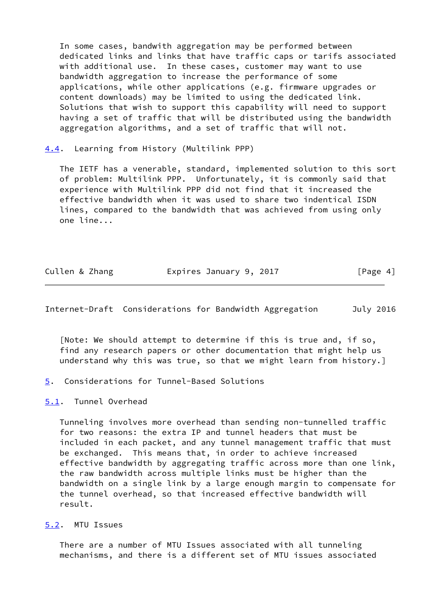In some cases, bandwith aggregation may be performed between dedicated links and links that have traffic caps or tarifs associated with additional use. In these cases, customer may want to use bandwidth aggregation to increase the performance of some applications, while other applications (e.g. firmware upgrades or content downloads) may be limited to using the dedicated link. Solutions that wish to support this capability will need to support having a set of traffic that will be distributed using the bandwidth aggregation algorithms, and a set of traffic that will not.

<span id="page-4-0"></span>[4.4](#page-4-0). Learning from History (Multilink PPP)

 The IETF has a venerable, standard, implemented solution to this sort of problem: Multilink PPP. Unfortunately, it is commonly said that experience with Multilink PPP did not find that it increased the effective bandwidth when it was used to share two indentical ISDN lines, compared to the bandwidth that was achieved from using only one line...

| Cullen & Zhang | Expires January 9, 2017 | [Page 4] |
|----------------|-------------------------|----------|
|                |                         |          |

<span id="page-4-2"></span>Internet-Draft Considerations for Bandwidth Aggregation July 2016

 [Note: We should attempt to determine if this is true and, if so, find any research papers or other documentation that might help us understand why this was true, so that we might learn from history.]

- <span id="page-4-1"></span>[5](#page-4-1). Considerations for Tunnel-Based Solutions
- <span id="page-4-3"></span>[5.1](#page-4-3). Tunnel Overhead

 Tunneling involves more overhead than sending non-tunnelled traffic for two reasons: the extra IP and tunnel headers that must be included in each packet, and any tunnel management traffic that must be exchanged. This means that, in order to achieve increased effective bandwidth by aggregating traffic across more than one link, the raw bandwidth across multiple links must be higher than the bandwidth on a single link by a large enough margin to compensate for the tunnel overhead, so that increased effective bandwidth will result.

<span id="page-4-4"></span>[5.2](#page-4-4). MTU Issues

 There are a number of MTU Issues associated with all tunneling mechanisms, and there is a different set of MTU issues associated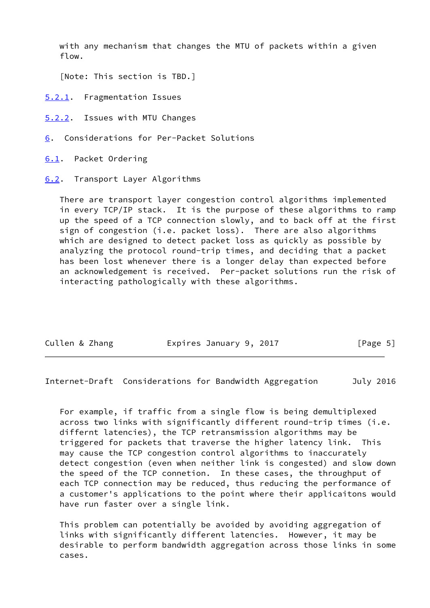with any mechanism that changes the MTU of packets within a given flow.

[Note: This section is TBD.]

- <span id="page-5-0"></span>[5.2.1](#page-5-0). Fragmentation Issues
- <span id="page-5-1"></span>[5.2.2](#page-5-1). Issues with MTU Changes
- <span id="page-5-2"></span>[6](#page-5-2). Considerations for Per-Packet Solutions
- <span id="page-5-3"></span>[6.1](#page-5-3). Packet Ordering
- <span id="page-5-4"></span>[6.2](#page-5-4). Transport Layer Algorithms

 There are transport layer congestion control algorithms implemented in every TCP/IP stack. It is the purpose of these algorithms to ramp up the speed of a TCP connection slowly, and to back off at the first sign of congestion (i.e. packet loss). There are also algorithms which are designed to detect packet loss as quickly as possible by analyzing the protocol round-trip times, and deciding that a packet has been lost whenever there is a longer delay than expected before an acknowledgement is received. Per-packet solutions run the risk of interacting pathologically with these algorithms.

| Cullen & Zhang | Expires January 9, 2017 | [Page 5] |
|----------------|-------------------------|----------|
|                |                         |          |

<span id="page-5-5"></span>Internet-Draft Considerations for Bandwidth Aggregation July 2016

 For example, if traffic from a single flow is being demultiplexed across two links with significantly different round-trip times (i.e. differnt latencies), the TCP retransmission algorithms may be triggered for packets that traverse the higher latency link. This may cause the TCP congestion control algorithms to inaccurately detect congestion (even when neither link is congested) and slow down the speed of the TCP connetion. In these cases, the throughput of each TCP connection may be reduced, thus reducing the performance of a customer's applications to the point where their applicaitons would have run faster over a single link.

 This problem can potentially be avoided by avoiding aggregation of links with significantly different latencies. However, it may be desirable to perform bandwidth aggregation across those links in some cases.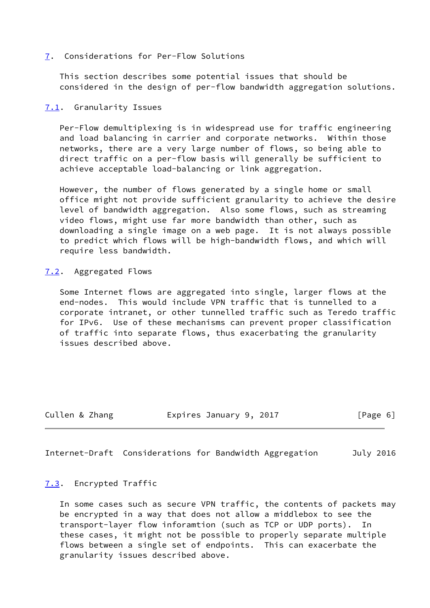#### <span id="page-6-0"></span>[7](#page-6-0). Considerations for Per-Flow Solutions

 This section describes some potential issues that should be considered in the design of per-flow bandwidth aggregation solutions.

#### <span id="page-6-1"></span>[7.1](#page-6-1). Granularity Issues

 Per-Flow demultiplexing is in widespread use for traffic engineering and load balancing in carrier and corporate networks. Within those networks, there are a very large number of flows, so being able to direct traffic on a per-flow basis will generally be sufficient to achieve acceptable load-balancing or link aggregation.

 However, the number of flows generated by a single home or small office might not provide sufficient granularity to achieve the desire level of bandwidth aggregation. Also some flows, such as streaming video flows, might use far more bandwidth than other, such as downloading a single image on a web page. It is not always possible to predict which flows will be high-bandwidth flows, and which will require less bandwidth.

#### <span id="page-6-2"></span>[7.2](#page-6-2). Aggregated Flows

 Some Internet flows are aggregated into single, larger flows at the end-nodes. This would include VPN traffic that is tunnelled to a corporate intranet, or other tunnelled traffic such as Teredo traffic for IPv6. Use of these mechanisms can prevent proper classification of traffic into separate flows, thus exacerbating the granularity issues described above.

Cullen & Zhang Expires January 9, 2017 [Page 6]

<span id="page-6-4"></span>Internet-Draft Considerations for Bandwidth Aggregation July 2016

### <span id="page-6-3"></span>[7.3](#page-6-3). Encrypted Traffic

 In some cases such as secure VPN traffic, the contents of packets may be encrypted in a way that does not allow a middlebox to see the transport-layer flow inforamtion (such as TCP or UDP ports). these cases, it might not be possible to properly separate multiple flows between a single set of endpoints. This can exacerbate the granularity issues described above.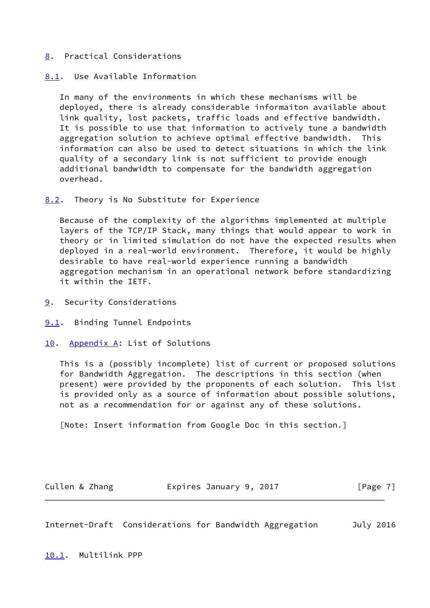### <span id="page-7-0"></span>[8](#page-7-0). Practical Considerations

#### <span id="page-7-1"></span>[8.1](#page-7-1). Use Available Information

 In many of the environments in which these mechanisms will be deployed, there is already considerable informaiton available about link quality, lost packets, traffic loads and effective bandwidth. It is possible to use that information to actively tune a bandwidth aggregation solution to achieve optimal effective bandwidth. This information can also be used to detect situations in which the link quality of a secondary link is not sufficient to provide enough additional bandwidth to compensate for the bandwidth aggregation overhead.

<span id="page-7-2"></span>[8.2](#page-7-2). Theory is No Substitute for Experience

 Because of the complexity of the algorithms implemented at multiple layers of the TCP/IP Stack, many things that would appear to work in theory or in limited simulation do not have the expected results when deployed in a real-world environment. Therefore, it would be highly desirable to have real-world experience running a bandwidth aggregation mechanism in an operational network before standardizing it within the IETF.

- <span id="page-7-3"></span>[9](#page-7-3). Security Considerations
- <span id="page-7-4"></span>[9.1](#page-7-4). Binding Tunnel Endpoints
- <span id="page-7-5"></span>[10.](#page-7-5) Appendix A: List of Solutions

 This is a (possibly incomplete) list of current or proposed solutions for Bandwidth Aggregation. The descriptions in this section (when present) were provided by the proponents of each solution. This list is provided only as a source of information about possible solutions, not as a recommendation for or against any of these solutions.

[Note: Insert information from Google Doc in this section.]

Cullen & Zhang **Expires January 9, 2017** [Page 7]

<span id="page-7-7"></span><span id="page-7-6"></span>Internet-Draft Considerations for Bandwidth Aggregation July 2016